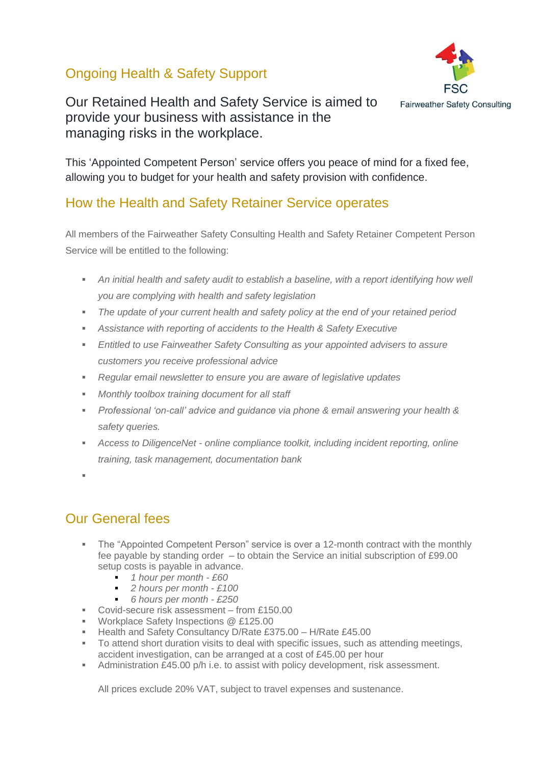## Ongoing Health & Safety Support



Our Retained Health and Safety Service is aimed to provide your business with assistance in the managing risks in the workplace.

This 'Appointed Competent Person' service offers you peace of mind for a fixed fee, allowing you to budget for your health and safety provision with confidence.

## How the Health and Safety Retainer Service operates

All members of the Fairweather Safety Consulting Health and Safety Retainer Competent Person Service will be entitled to the following:

- *An initial health and safety audit to establish a baseline, with a report identifying how well you are complying with health and safety legislation*
- *The update of your current health and safety policy at the end of your retained period*
- **EXEDENT Assistance with reporting of accidents to the Health & Safety Executive**
- **Entitled to use Fairweather Safety Consulting as your appointed advisers to assure** *customers you receive professional advice*
- *Regular email newsletter to ensure you are aware of legislative updates*
- *Monthly toolbox training document for all staff*
- *Professional 'on-call' advice and guidance via phone & email answering your health & safety queries.*
- *Access to DiligenceNet - online compliance toolkit, including incident reporting, online training, task management, documentation bank*
- ▪

# Our General fees

- The "Appointed Competent Person" service is over a 12-month contract with the monthly fee payable by standing order – to obtain the Service an initial subscription of £99.00 setup costs is payable in advance.
	- *1 hour per month - £60*
	- 2 hours per month £100
	- *6 hours per month - £250*
- Covid-secure risk assessment from £150.00
- Workplace Safety Inspections @ £125.00
- **E** Health and Safety Consultancy D/Rate £375.00 H/Rate £45.00
- To attend short duration visits to deal with specific issues, such as attending meetings, accident investigation, can be arranged at a cost of £45.00 per hour
- Administration £45.00 p/h i.e. to assist with policy development, risk assessment.

All prices exclude 20% VAT, subject to travel expenses and sustenance.